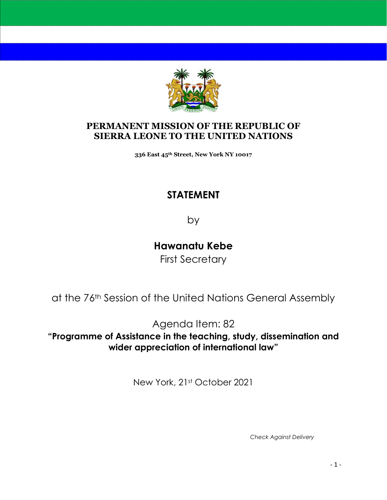

#### **PERMANENT MISSION OF THE REPUBLIC OF SIERRA LEONE TO THE UNITED NATIONS**

**336 East 45th Street, New York NY 10017**

# **STATEMENT**

by

**Hawanatu Kebe** 

First Secretary

at the 76th Session of the United Nations General Assembly

Agenda Item: 82

**"Programme of Assistance in the teaching, study, dissemination and wider appreciation of international law"**

New York, 21st October 2021

*Check Against Delivery*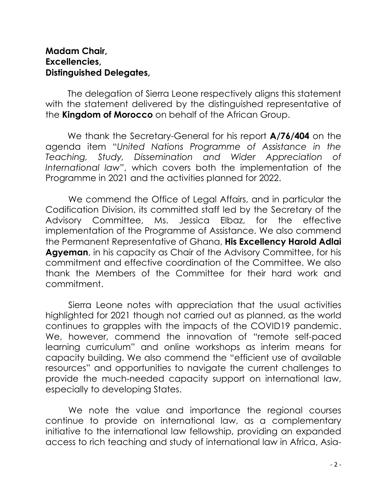#### **Madam Chair, Excellencies, Distinguished Delegates,**

 The delegation of Sierra Leone respectively aligns this statement with the statement delivered by the distinguished representative of the **Kingdom of Morocco** on behalf of the African Group.

 We thank the Secretary-General for his report **A/76/404** on the agenda item "*United Nations Programme of Assistance in the Teaching, Study, Dissemination and Wider Appreciation of International law*", which covers both the implementation of the Programme in 2021 and the activities planned for 2022.

We commend the Office of Legal Affairs, and in particular the Codification Division, its committed staff led by the Secretary of the Advisory Committee, Ms. Jessica Elbaz, for the effective implementation of the Programme of Assistance. We also commend the Permanent Representative of Ghana, **His Excellency Harold Adlai Agyeman**, in his capacity as Chair of the Advisory Committee, for his commitment and effective coordination of the Committee. We also thank the Members of the Committee for their hard work and commitment.

Sierra Leone notes with appreciation that the usual activities highlighted for 2021 though not carried out as planned, as the world continues to grapples with the impacts of the COVID19 pandemic. We, however, commend the innovation of "remote self-paced learning curriculum" and online workshops as interim means for capacity building. We also commend the "efficient use of available resources" and opportunities to navigate the current challenges to provide the much-needed capacity support on international law, especially to developing States.

We note the value and importance the regional courses continue to provide on international law, as a complementary initiative to the international law fellowship, providing an expanded access to rich teaching and study of international law in Africa, Asia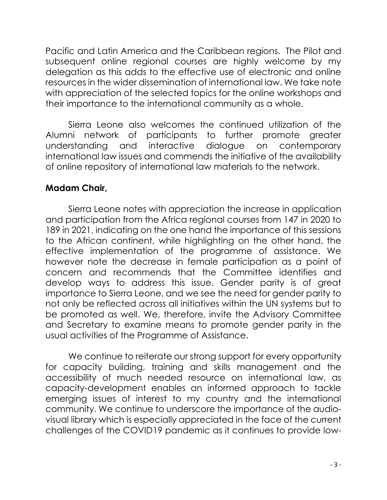Pacific and Latin America and the Caribbean regions. The Pilot and subsequent online regional courses are highly welcome by my delegation as this adds to the effective use of electronic and online resources in the wider dissemination of international law. We take note with appreciation of the selected topics for the online workshops and their importance to the international community as a whole.

Sierra Leone also welcomes the continued utilization of the Alumni network of participants to further promote greater understanding and interactive dialogue on contemporary international law issues and commends the initiative of the availability of online repository of international law materials to the network.

## **Madam Chair,**

Sierra Leone notes with appreciation the increase in application and participation from the Africa regional courses from 147 in 2020 to 189 in 2021, indicating on the one hand the importance of this sessions to the African continent, while highlighting on the other hand, the effective implementation of the programme of assistance. We however note the decrease in female participation as a point of concern and recommends that the Committee identifies and develop ways to address this issue. Gender parity is of great importance to Sierra Leone, and we see the need for gender parity to not only be reflected across all initiatives within the UN systems but to be promoted as well. We, therefore, invite the Advisory Committee and Secretary to examine means to promote gender parity in the usual activities of the Programme of Assistance.

We continue to reiterate our strong support for every opportunity for capacity building, training and skills management and the accessibility of much needed resource on international law, as capacity-development enables an informed approach to tackle emerging issues of interest to my country and the international community. We continue to underscore the importance of the audiovisual library which is especially appreciated in the face of the current challenges of the COVID19 pandemic as it continues to provide low